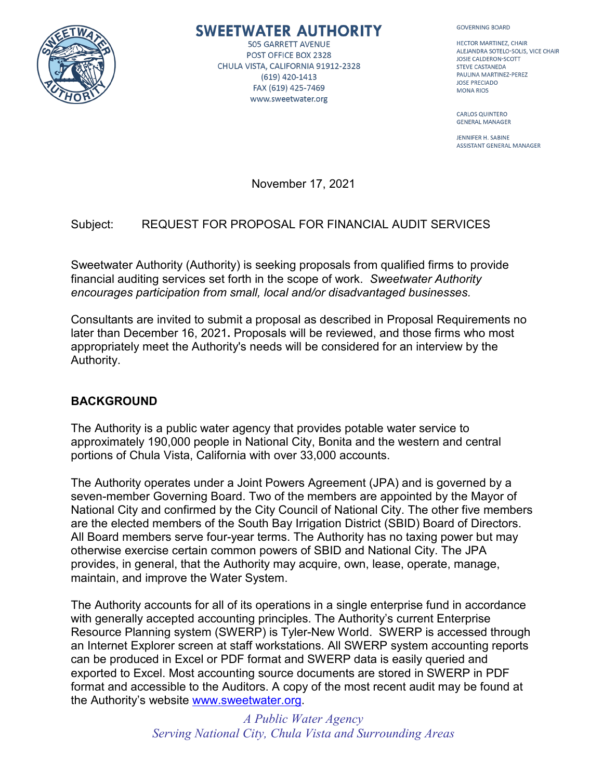

# SWEETWATER AUTHORITY

**505 GARRETT AVENUE** POST OFFICE BOX 2328 CHULA VISTA, CALIFORNIA 91912-2328 (619) 420-1413 FAX (619) 425-7469 www.sweetwater.org

**GOVERNING BOARD** 

HECTOR MARTINEZ, CHAIR ALEJANDRA SOTELO-SOLIS, VICE CHAIR **JOSIE CALDERON-SCOTT STEVE CASTANEDA** PAULINA MARTINEZ-PEREZ **JOSE PRECIADO MONA RIOS** 

**CARLOS QUINTERO GENERAL MANAGER** 

JENNIFER H. SABINE **ASSISTANT GENERAL MANAGER** 

November 17, 2021

# Subject: REQUEST FOR PROPOSAL FOR FINANCIAL AUDIT SERVICES

Sweetwater Authority (Authority) is seeking proposals from qualified firms to provide financial auditing services set forth in the scope of work. *Sweetwater Authority encourages participation from small, local and/or disadvantaged businesses.*

Consultants are invited to submit a proposal as described in Proposal Requirements no later than December 16, 2021**.** Proposals will be reviewed, and those firms who most appropriately meet the Authority's needs will be considered for an interview by the Authority.

# **BACKGROUND**

The Authority is a public water agency that provides potable water service to approximately 190,000 people in National City, Bonita and the western and central portions of Chula Vista, California with over 33,000 accounts.

The Authority operates under a Joint Powers Agreement (JPA) and is governed by a seven-member Governing Board. Two of the members are appointed by the Mayor of National City and confirmed by the City Council of National City. The other five members are the elected members of the South Bay Irrigation District (SBID) Board of Directors. All Board members serve four-year terms. The Authority has no taxing power but may otherwise exercise certain common powers of SBID and National City. The JPA provides, in general, that the Authority may acquire, own, lease, operate, manage, maintain, and improve the Water System.

The Authority accounts for all of its operations in a single enterprise fund in accordance with generally accepted accounting principles. The Authority's current Enterprise Resource Planning system (SWERP) is Tyler-New World. SWERP is accessed through an Internet Explorer screen at staff workstations. All SWERP system accounting reports can be produced in Excel or PDF format and SWERP data is easily queried and exported to Excel. Most accounting source documents are stored in SWERP in PDF format and accessible to the Auditors. A copy of the most recent audit may be found at the Authority's website [www.sweetwater.org.](http://www.sweetwater.org/)

> *A Public Water Agency Serving National City, Chula Vista and Surrounding Areas*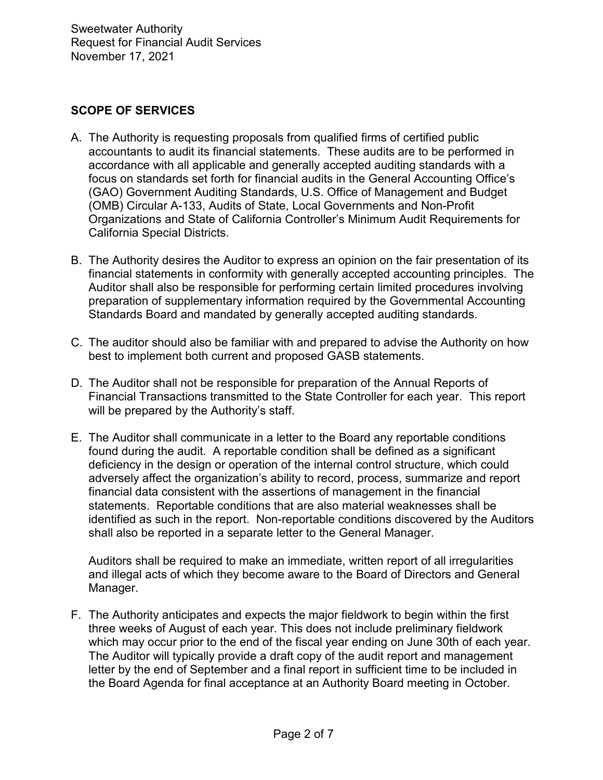# **SCOPE OF SERVICES**

- A. The Authority is requesting proposals from qualified firms of certified public accountants to audit its financial statements. These audits are to be performed in accordance with all applicable and generally accepted auditing standards with a focus on standards set forth for financial audits in the General Accounting Office's (GAO) Government Auditing Standards, U.S. Office of Management and Budget (OMB) Circular A-133, Audits of State, Local Governments and Non-Profit Organizations and State of California Controller's Minimum Audit Requirements for California Special Districts.
- B. The Authority desires the Auditor to express an opinion on the fair presentation of its financial statements in conformity with generally accepted accounting principles. The Auditor shall also be responsible for performing certain limited procedures involving preparation of supplementary information required by the Governmental Accounting Standards Board and mandated by generally accepted auditing standards.
- C. The auditor should also be familiar with and prepared to advise the Authority on how best to implement both current and proposed GASB statements.
- D. The Auditor shall not be responsible for preparation of the Annual Reports of Financial Transactions transmitted to the State Controller for each year. This report will be prepared by the Authority's staff.
- E. The Auditor shall communicate in a letter to the Board any reportable conditions found during the audit. A reportable condition shall be defined as a significant deficiency in the design or operation of the internal control structure, which could adversely affect the organization's ability to record, process, summarize and report financial data consistent with the assertions of management in the financial statements. Reportable conditions that are also material weaknesses shall be identified as such in the report. Non-reportable conditions discovered by the Auditors shall also be reported in a separate letter to the General Manager.

Auditors shall be required to make an immediate, written report of all irregularities and illegal acts of which they become aware to the Board of Directors and General Manager.

F. The Authority anticipates and expects the major fieldwork to begin within the first three weeks of August of each year. This does not include preliminary fieldwork which may occur prior to the end of the fiscal year ending on June 30th of each year. The Auditor will typically provide a draft copy of the audit report and management letter by the end of September and a final report in sufficient time to be included in the Board Agenda for final acceptance at an Authority Board meeting in October.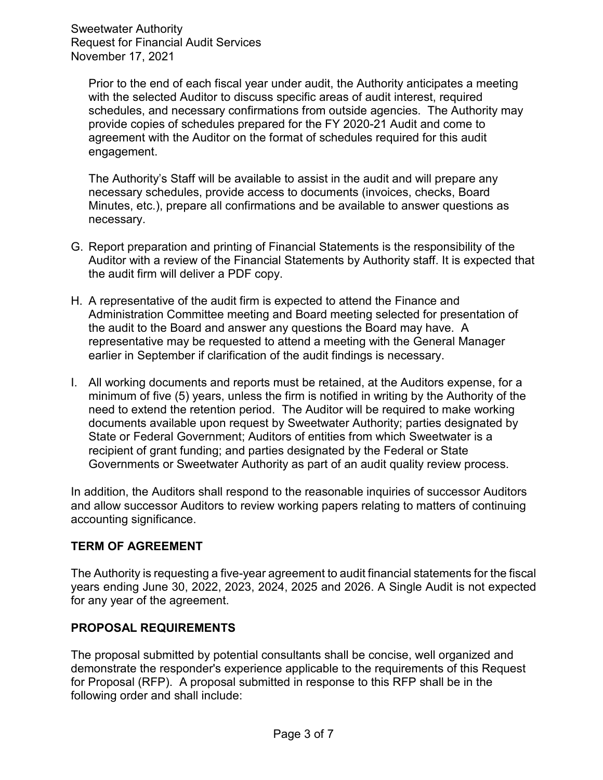Prior to the end of each fiscal year under audit, the Authority anticipates a meeting with the selected Auditor to discuss specific areas of audit interest, required schedules, and necessary confirmations from outside agencies. The Authority may provide copies of schedules prepared for the FY 2020-21 Audit and come to agreement with the Auditor on the format of schedules required for this audit engagement.

The Authority's Staff will be available to assist in the audit and will prepare any necessary schedules, provide access to documents (invoices, checks, Board Minutes, etc.), prepare all confirmations and be available to answer questions as necessary.

- G. Report preparation and printing of Financial Statements is the responsibility of the Auditor with a review of the Financial Statements by Authority staff. It is expected that the audit firm will deliver a PDF copy.
- H. A representative of the audit firm is expected to attend the Finance and Administration Committee meeting and Board meeting selected for presentation of the audit to the Board and answer any questions the Board may have. A representative may be requested to attend a meeting with the General Manager earlier in September if clarification of the audit findings is necessary.
- I. All working documents and reports must be retained, at the Auditors expense, for a minimum of five (5) years, unless the firm is notified in writing by the Authority of the need to extend the retention period. The Auditor will be required to make working documents available upon request by Sweetwater Authority; parties designated by State or Federal Government; Auditors of entities from which Sweetwater is a recipient of grant funding; and parties designated by the Federal or State Governments or Sweetwater Authority as part of an audit quality review process.

In addition, the Auditors shall respond to the reasonable inquiries of successor Auditors and allow successor Auditors to review working papers relating to matters of continuing accounting significance.

# **TERM OF AGREEMENT**

The Authority is requesting a five-year agreement to audit financial statements for the fiscal years ending June 30, 2022, 2023, 2024, 2025 and 2026. A Single Audit is not expected for any year of the agreement.

# **PROPOSAL REQUIREMENTS**

The proposal submitted by potential consultants shall be concise, well organized and demonstrate the responder's experience applicable to the requirements of this Request for Proposal (RFP). A proposal submitted in response to this RFP shall be in the following order and shall include: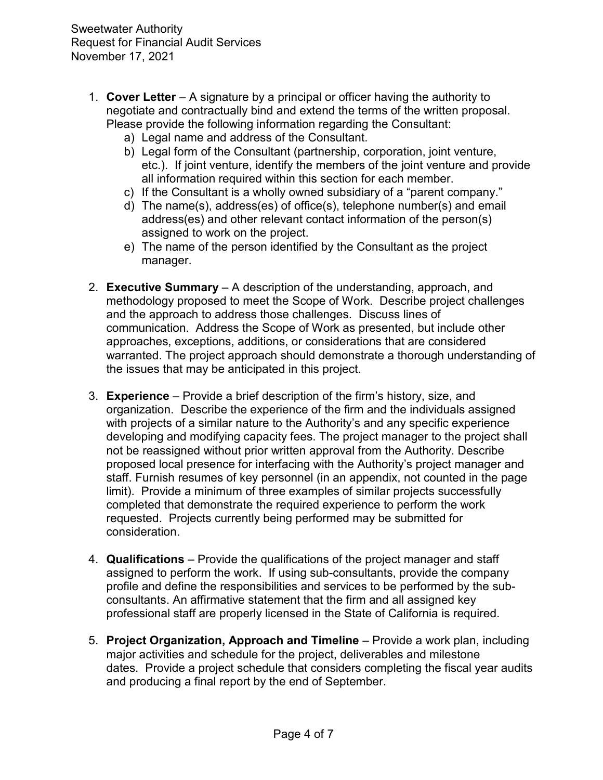- 1. **Cover Letter** A signature by a principal or officer having the authority to negotiate and contractually bind and extend the terms of the written proposal. Please provide the following information regarding the Consultant:
	- a) Legal name and address of the Consultant.
	- b) Legal form of the Consultant (partnership, corporation, joint venture, etc.). If joint venture, identify the members of the joint venture and provide all information required within this section for each member.
	- c) If the Consultant is a wholly owned subsidiary of a "parent company."
	- d) The name(s), address(es) of office(s), telephone number(s) and email address(es) and other relevant contact information of the person(s) assigned to work on the project.
	- e) The name of the person identified by the Consultant as the project manager.
- 2. **Executive Summary** A description of the understanding, approach, and methodology proposed to meet the Scope of Work. Describe project challenges and the approach to address those challenges. Discuss lines of communication. Address the Scope of Work as presented, but include other approaches, exceptions, additions, or considerations that are considered warranted. The project approach should demonstrate a thorough understanding of the issues that may be anticipated in this project.
- 3. **Experience** Provide a brief description of the firm's history, size, and organization. Describe the experience of the firm and the individuals assigned with projects of a similar nature to the Authority's and any specific experience developing and modifying capacity fees. The project manager to the project shall not be reassigned without prior written approval from the Authority. Describe proposed local presence for interfacing with the Authority's project manager and staff. Furnish resumes of key personnel (in an appendix, not counted in the page limit). Provide a minimum of three examples of similar projects successfully completed that demonstrate the required experience to perform the work requested. Projects currently being performed may be submitted for consideration.
- 4. **Qualifications** Provide the qualifications of the project manager and staff assigned to perform the work. If using sub-consultants, provide the company profile and define the responsibilities and services to be performed by the subconsultants. An affirmative statement that the firm and all assigned key professional staff are properly licensed in the State of California is required.
- 5. **Project Organization, Approach and Timeline** Provide a work plan, including major activities and schedule for the project, deliverables and milestone dates. Provide a project schedule that considers completing the fiscal year audits and producing a final report by the end of September.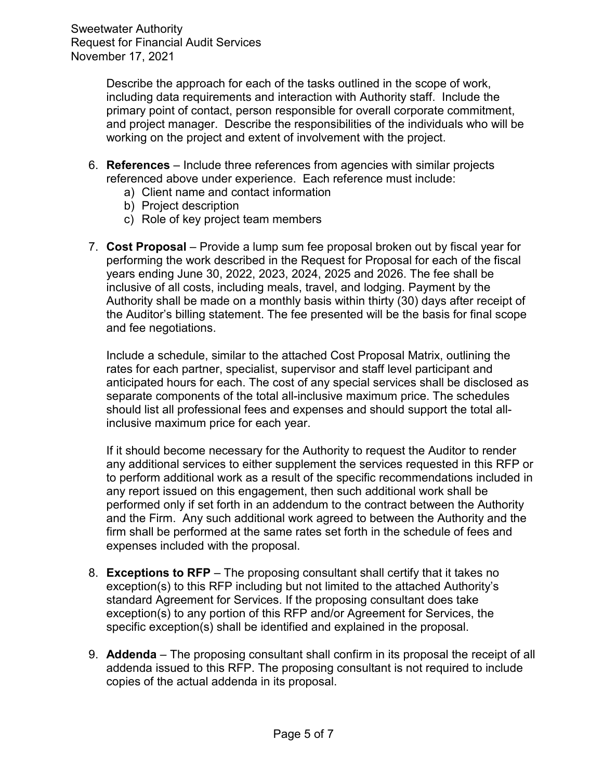> Describe the approach for each of the tasks outlined in the scope of work, including data requirements and interaction with Authority staff. Include the primary point of contact, person responsible for overall corporate commitment, and project manager. Describe the responsibilities of the individuals who will be working on the project and extent of involvement with the project.

- 6. **References**  Include three references from agencies with similar projects referenced above under experience. Each reference must include:
	- a) Client name and contact information
	- b) Project description
	- c) Role of key project team members
- 7. **Cost Proposal** Provide a lump sum fee proposal broken out by fiscal year for performing the work described in the Request for Proposal for each of the fiscal years ending June 30, 2022, 2023, 2024, 2025 and 2026. The fee shall be inclusive of all costs, including meals, travel, and lodging. Payment by the Authority shall be made on a monthly basis within thirty (30) days after receipt of the Auditor's billing statement. The fee presented will be the basis for final scope and fee negotiations.

Include a schedule, similar to the attached Cost Proposal Matrix, outlining the rates for each partner, specialist, supervisor and staff level participant and anticipated hours for each. The cost of any special services shall be disclosed as separate components of the total all-inclusive maximum price. The schedules should list all professional fees and expenses and should support the total allinclusive maximum price for each year.

If it should become necessary for the Authority to request the Auditor to render any additional services to either supplement the services requested in this RFP or to perform additional work as a result of the specific recommendations included in any report issued on this engagement, then such additional work shall be performed only if set forth in an addendum to the contract between the Authority and the Firm. Any such additional work agreed to between the Authority and the firm shall be performed at the same rates set forth in the schedule of fees and expenses included with the proposal.

- 8. **Exceptions to RFP** The proposing consultant shall certify that it takes no exception(s) to this RFP including but not limited to the attached Authority's standard Agreement for Services. If the proposing consultant does take exception(s) to any portion of this RFP and/or Agreement for Services, the specific exception(s) shall be identified and explained in the proposal.
- 9. **Addenda** The proposing consultant shall confirm in its proposal the receipt of all addenda issued to this RFP. The proposing consultant is not required to include copies of the actual addenda in its proposal.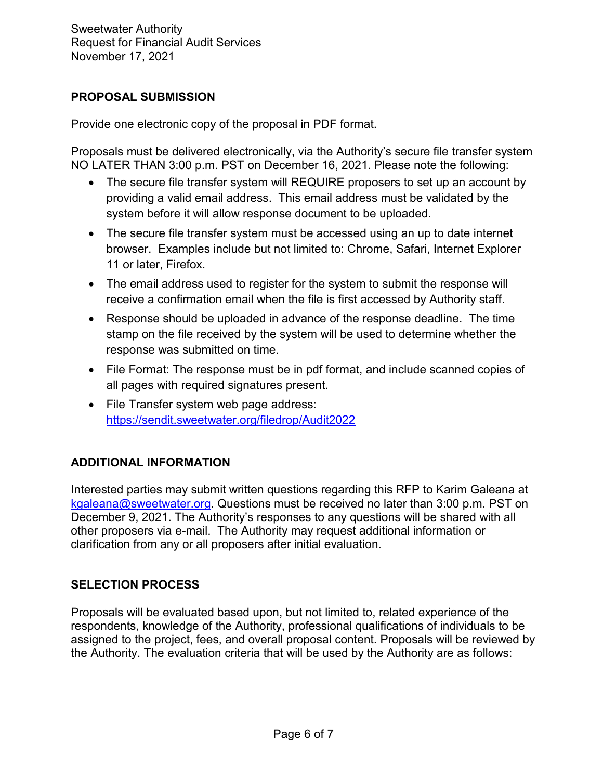# **PROPOSAL SUBMISSION**

Provide one electronic copy of the proposal in PDF format.

Proposals must be delivered electronically, via the Authority's secure file transfer system NO LATER THAN 3:00 p.m. PST on December 16, 2021. Please note the following:

- The secure file transfer system will REQUIRE proposers to set up an account by providing a valid email address. This email address must be validated by the system before it will allow response document to be uploaded.
- The secure file transfer system must be accessed using an up to date internet browser. Examples include but not limited to: Chrome, Safari, Internet Explorer 11 or later, Firefox.
- The email address used to register for the system to submit the response will receive a confirmation email when the file is first accessed by Authority staff.
- Response should be uploaded in advance of the response deadline. The time stamp on the file received by the system will be used to determine whether the response was submitted on time.
- File Format: The response must be in pdf format, and include scanned copies of all pages with required signatures present.
- File Transfer system web page address: <https://sendit.sweetwater.org/filedrop/Audit2022>

# **ADDITIONAL INFORMATION**

Interested parties may submit written questions regarding this RFP to Karim Galeana at [kgaleana@sweetwater.org.](mailto:kgaleana@sweetwater.org) Questions must be received no later than 3:00 p.m. PST on December 9, 2021. The Authority's responses to any questions will be shared with all other proposers via e-mail. The Authority may request additional information or clarification from any or all proposers after initial evaluation.

# **SELECTION PROCESS**

Proposals will be evaluated based upon, but not limited to, related experience of the respondents, knowledge of the Authority, professional qualifications of individuals to be assigned to the project, fees, and overall proposal content. Proposals will be reviewed by the Authority. The evaluation criteria that will be used by the Authority are as follows: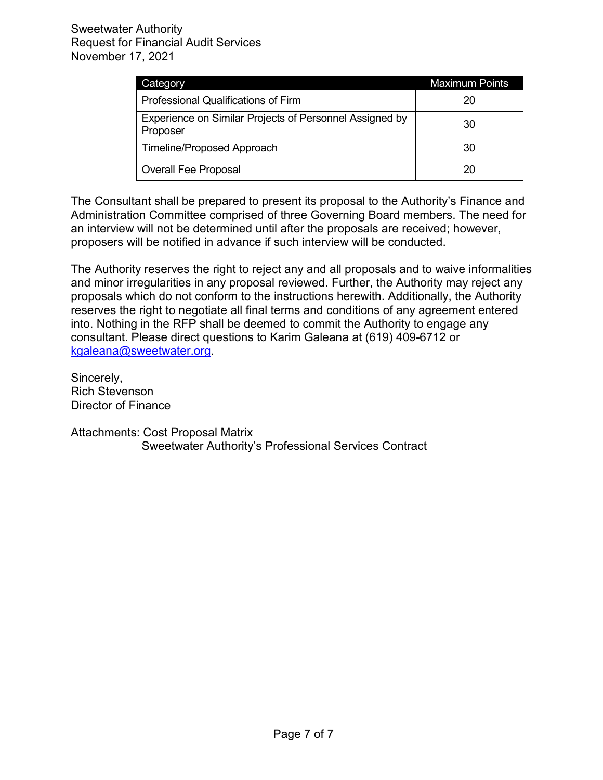| Category                                                            | <b>Maximum Points</b> |  |  |  |
|---------------------------------------------------------------------|-----------------------|--|--|--|
| Professional Qualifications of Firm                                 | 20                    |  |  |  |
| Experience on Similar Projects of Personnel Assigned by<br>Proposer | 30                    |  |  |  |
| Timeline/Proposed Approach                                          | 30                    |  |  |  |
| <b>Overall Fee Proposal</b>                                         | 20                    |  |  |  |

The Consultant shall be prepared to present its proposal to the Authority's Finance and Administration Committee comprised of three Governing Board members. The need for an interview will not be determined until after the proposals are received; however, proposers will be notified in advance if such interview will be conducted.

The Authority reserves the right to reject any and all proposals and to waive informalities and minor irregularities in any proposal reviewed. Further, the Authority may reject any proposals which do not conform to the instructions herewith. Additionally, the Authority reserves the right to negotiate all final terms and conditions of any agreement entered into. Nothing in the RFP shall be deemed to commit the Authority to engage any consultant. Please direct questions to Karim Galeana at (619) 409-6712 or [kgaleana@sweetwater.org.](mailto:kgaleana@sweetwater.org)

Sincerely, Rich Stevenson Director of Finance

Attachments: Cost Proposal Matrix Sweetwater Authority's Professional Services Contract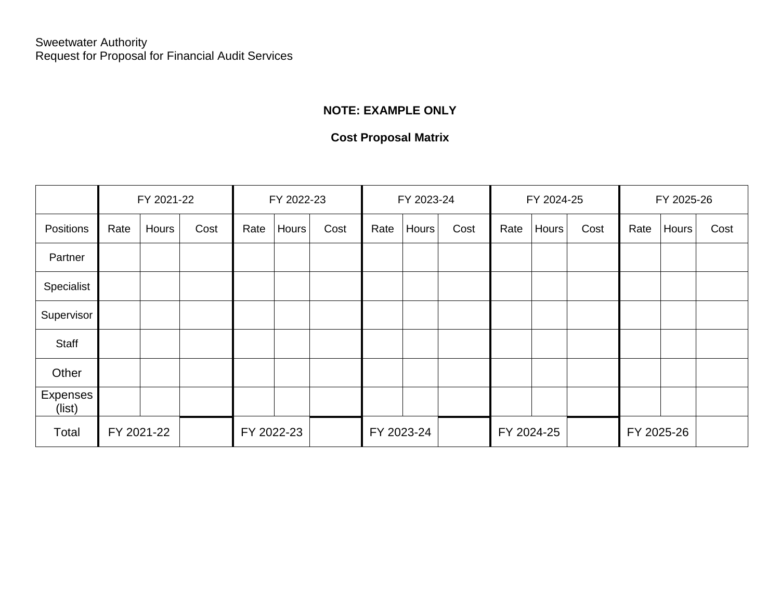# **NOTE: EXAMPLE ONLY**

# **Cost Proposal Matrix**

|                    | FY 2021-22 |       | FY 2022-23 |      |            | FY 2023-24 |            |       | FY 2024-25 |      |       | FY 2025-26 |      |       |      |
|--------------------|------------|-------|------------|------|------------|------------|------------|-------|------------|------|-------|------------|------|-------|------|
| Positions          | Rate       | Hours | Cost       | Rate | Hours      | Cost       | Rate       | Hours | Cost       | Rate | Hours | Cost       | Rate | Hours | Cost |
| Partner            |            |       |            |      |            |            |            |       |            |      |       |            |      |       |      |
| Specialist         |            |       |            |      |            |            |            |       |            |      |       |            |      |       |      |
| Supervisor         |            |       |            |      |            |            |            |       |            |      |       |            |      |       |      |
| Staff              |            |       |            |      |            |            |            |       |            |      |       |            |      |       |      |
| Other              |            |       |            |      |            |            |            |       |            |      |       |            |      |       |      |
| Expenses<br>(list) |            |       |            |      |            |            |            |       |            |      |       |            |      |       |      |
| Total              | FY 2021-22 |       | FY 2022-23 |      | FY 2023-24 |            | FY 2024-25 |       | FY 2025-26 |      |       |            |      |       |      |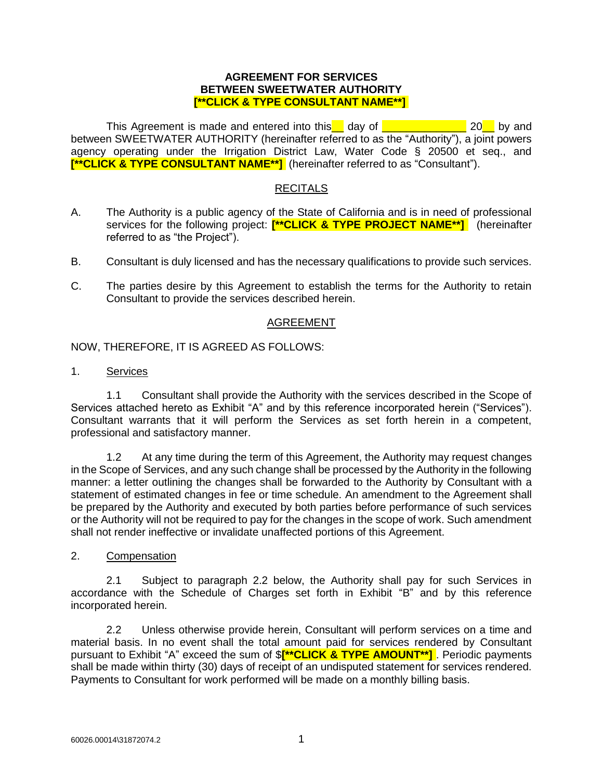This Agreement is made and entered into this day of  $\sim$  20 by and between SWEETWATER AUTHORITY (hereinafter referred to as the "Authority"), a joint powers agency operating under the Irrigation District Law, Water Code § 20500 et seq., and **[\*\*CLICK & TYPE CONSULTANT NAME\*\*]** (hereinafter referred to as "Consultant").

## **RECITALS**

- A. The Authority is a public agency of the State of California and is in need of professional services for the following project: **[\*\*CLICK & TYPE PROJECT NAME\*\*]** (hereinafter referred to as "the Project").
- B. Consultant is duly licensed and has the necessary qualifications to provide such services.
- C. The parties desire by this Agreement to establish the terms for the Authority to retain Consultant to provide the services described herein.

#### AGREEMENT

NOW, THEREFORE, IT IS AGREED AS FOLLOWS:

1. Services

1.1 Consultant shall provide the Authority with the services described in the Scope of Services attached hereto as Exhibit "A" and by this reference incorporated herein ("Services"). Consultant warrants that it will perform the Services as set forth herein in a competent, professional and satisfactory manner.

1.2 At any time during the term of this Agreement, the Authority may request changes in the Scope of Services, and any such change shall be processed by the Authority in the following manner: a letter outlining the changes shall be forwarded to the Authority by Consultant with a statement of estimated changes in fee or time schedule. An amendment to the Agreement shall be prepared by the Authority and executed by both parties before performance of such services or the Authority will not be required to pay for the changes in the scope of work. Such amendment shall not render ineffective or invalidate unaffected portions of this Agreement.

2. Compensation

2.1 Subject to paragraph 2.2 below, the Authority shall pay for such Services in accordance with the Schedule of Charges set forth in Exhibit "B" and by this reference incorporated herein.

2.2 Unless otherwise provide herein, Consultant will perform services on a time and material basis. In no event shall the total amount paid for services rendered by Consultant pursuant to Exhibit "A" exceed the sum of \$**[\*\*CLICK & TYPE AMOUNT\*\*]** . Periodic payments shall be made within thirty (30) days of receipt of an undisputed statement for services rendered. Payments to Consultant for work performed will be made on a monthly billing basis.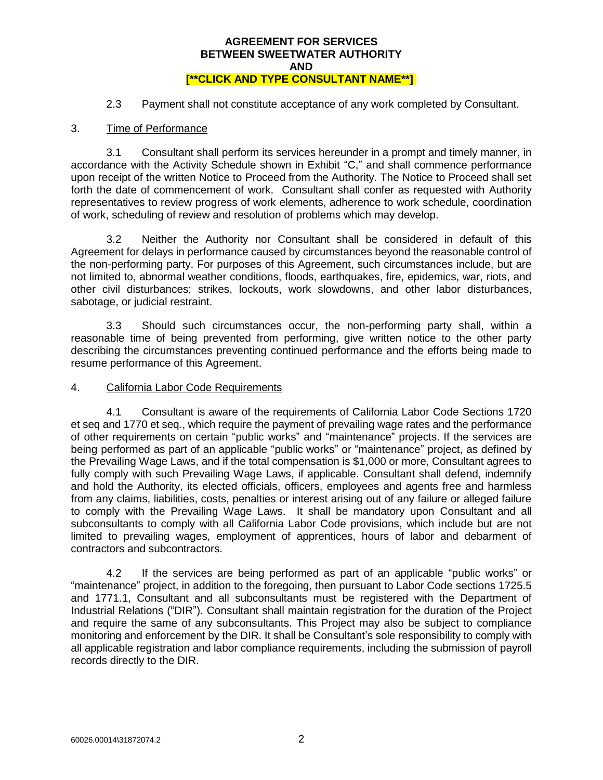2.3 Payment shall not constitute acceptance of any work completed by Consultant.

### 3. Time of Performance

3.1 Consultant shall perform its services hereunder in a prompt and timely manner, in accordance with the Activity Schedule shown in Exhibit "C," and shall commence performance upon receipt of the written Notice to Proceed from the Authority. The Notice to Proceed shall set forth the date of commencement of work. Consultant shall confer as requested with Authority representatives to review progress of work elements, adherence to work schedule, coordination of work, scheduling of review and resolution of problems which may develop.

3.2 Neither the Authority nor Consultant shall be considered in default of this Agreement for delays in performance caused by circumstances beyond the reasonable control of the non-performing party. For purposes of this Agreement, such circumstances include, but are not limited to, abnormal weather conditions, floods, earthquakes, fire, epidemics, war, riots, and other civil disturbances; strikes, lockouts, work slowdowns, and other labor disturbances, sabotage, or judicial restraint.

3.3 Should such circumstances occur, the non-performing party shall, within a reasonable time of being prevented from performing, give written notice to the other party describing the circumstances preventing continued performance and the efforts being made to resume performance of this Agreement.

## 4. California Labor Code Requirements

4.1 Consultant is aware of the requirements of California Labor Code Sections 1720 et seq and 1770 et seq., which require the payment of prevailing wage rates and the performance of other requirements on certain "public works" and "maintenance" projects. If the services are being performed as part of an applicable "public works" or "maintenance" project, as defined by the Prevailing Wage Laws, and if the total compensation is \$1,000 or more, Consultant agrees to fully comply with such Prevailing Wage Laws, if applicable. Consultant shall defend, indemnify and hold the Authority, its elected officials, officers, employees and agents free and harmless from any claims, liabilities, costs, penalties or interest arising out of any failure or alleged failure to comply with the Prevailing Wage Laws. It shall be mandatory upon Consultant and all subconsultants to comply with all California Labor Code provisions, which include but are not limited to prevailing wages, employment of apprentices, hours of labor and debarment of contractors and subcontractors.

4.2 If the services are being performed as part of an applicable "public works" or "maintenance" project, in addition to the foregoing, then pursuant to Labor Code sections 1725.5 and 1771.1, Consultant and all subconsultants must be registered with the Department of Industrial Relations ("DIR"). Consultant shall maintain registration for the duration of the Project and require the same of any subconsultants. This Project may also be subject to compliance monitoring and enforcement by the DIR. It shall be Consultant's sole responsibility to comply with all applicable registration and labor compliance requirements, including the submission of payroll records directly to the DIR.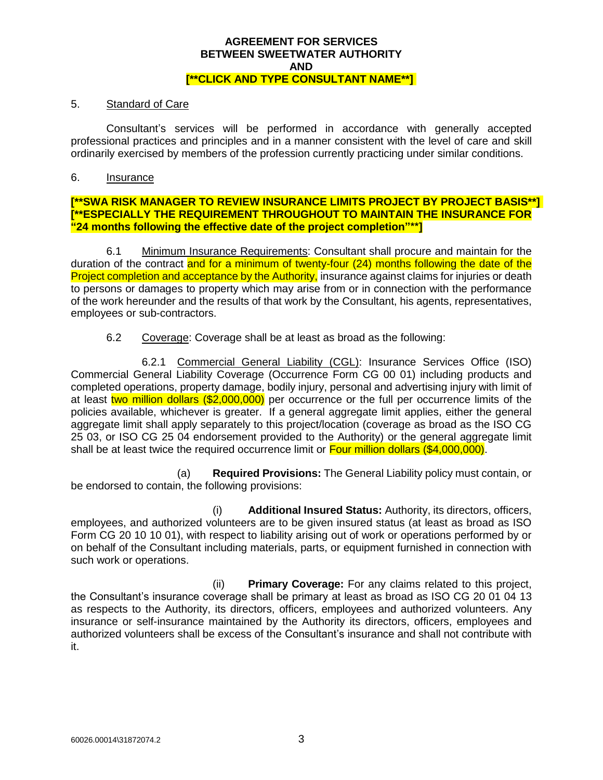### 5. Standard of Care

Consultant's services will be performed in accordance with generally accepted professional practices and principles and in a manner consistent with the level of care and skill ordinarily exercised by members of the profession currently practicing under similar conditions.

### 6. Insurance

### **[\*\*SWA RISK MANAGER TO REVIEW INSURANCE LIMITS PROJECT BY PROJECT BASIS\*\*] [\*\*ESPECIALLY THE REQUIREMENT THROUGHOUT TO MAINTAIN THE INSURANCE FOR "24 months following the effective date of the project completion"\*\*]**

6.1 Minimum Insurance Requirements: Consultant shall procure and maintain for the duration of the contract and for a minimum of twenty-four (24) months following the date of the Project completion and acceptance by the Authority, insurance against claims for injuries or death to persons or damages to property which may arise from or in connection with the performance of the work hereunder and the results of that work by the Consultant, his agents, representatives, employees or sub-contractors.

6.2 Coverage: Coverage shall be at least as broad as the following:

6.2.1 Commercial General Liability (CGL): Insurance Services Office (ISO) Commercial General Liability Coverage (Occurrence Form CG 00 01) including products and completed operations, property damage, bodily injury, personal and advertising injury with limit of at least two million dollars (\$2,000,000) per occurrence or the full per occurrence limits of the policies available, whichever is greater. If a general aggregate limit applies, either the general aggregate limit shall apply separately to this project/location (coverage as broad as the ISO CG 25 03, or ISO CG 25 04 endorsement provided to the Authority) or the general aggregate limit shall be at least twice the required occurrence limit or **Four million dollars (\$4,000,000)**.

(a) **Required Provisions:** The General Liability policy must contain, or be endorsed to contain, the following provisions:

(i) **Additional Insured Status:** Authority, its directors, officers, employees, and authorized volunteers are to be given insured status (at least as broad as ISO Form CG 20 10 10 01), with respect to liability arising out of work or operations performed by or on behalf of the Consultant including materials, parts, or equipment furnished in connection with such work or operations.

(ii) **Primary Coverage:** For any claims related to this project, the Consultant's insurance coverage shall be primary at least as broad as ISO CG 20 01 04 13 as respects to the Authority, its directors, officers, employees and authorized volunteers. Any insurance or self-insurance maintained by the Authority its directors, officers, employees and authorized volunteers shall be excess of the Consultant's insurance and shall not contribute with it.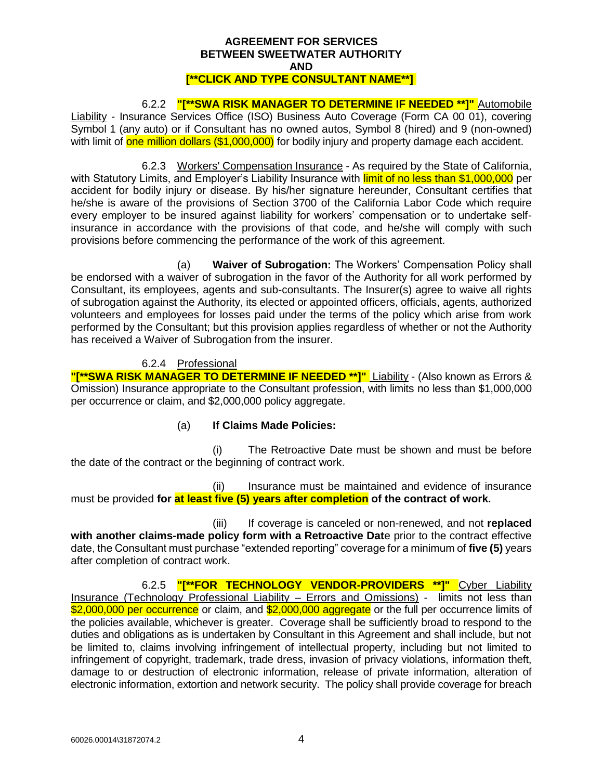6.2.2 **"[\*\*SWA RISK MANAGER TO DETERMINE IF NEEDED \*\*]"** Automobile Liability - Insurance Services Office (ISO) Business Auto Coverage (Form CA 00 01), covering Symbol 1 (any auto) or if Consultant has no owned autos, Symbol 8 (hired) and 9 (non-owned) with limit of one million dollars (\$1,000,000) for bodily injury and property damage each accident.

6.2.3 Workers' Compensation Insurance - As required by the State of California, with Statutory Limits, and Employer's Liability Insurance with limit of no less than \$1,000,000 per accident for bodily injury or disease. By his/her signature hereunder, Consultant certifies that he/she is aware of the provisions of Section 3700 of the California Labor Code which require every employer to be insured against liability for workers' compensation or to undertake selfinsurance in accordance with the provisions of that code, and he/she will comply with such provisions before commencing the performance of the work of this agreement.

(a) **Waiver of Subrogation:** The Workers' Compensation Policy shall be endorsed with a waiver of subrogation in the favor of the Authority for all work performed by Consultant, its employees, agents and sub-consultants. The Insurer(s) agree to waive all rights of subrogation against the Authority, its elected or appointed officers, officials, agents, authorized volunteers and employees for losses paid under the terms of the policy which arise from work performed by the Consultant; but this provision applies regardless of whether or not the Authority has received a Waiver of Subrogation from the insurer.

## 6.2.4 Professional

**"[\*\*SWA RISK MANAGER TO DETERMINE IF NEEDED \*\*]"** Liability - (Also known as Errors & Omission) Insurance appropriate to the Consultant profession, with limits no less than \$1,000,000 per occurrence or claim, and \$2,000,000 policy aggregate.

## (a) **If Claims Made Policies:**

(i) The Retroactive Date must be shown and must be before the date of the contract or the beginning of contract work.

(ii) Insurance must be maintained and evidence of insurance must be provided **for at least five (5) years after completion of the contract of work.**

(iii) If coverage is canceled or non-renewed, and not **replaced with another claims-made policy form with a Retroactive Dat**e prior to the contract effective date, the Consultant must purchase "extended reporting" coverage for a minimum of **five (5)** years after completion of contract work.

6.2.5 **"[\*\*FOR TECHNOLOGY VENDOR-PROVIDERS \*\*]"** Cyber Liability Insurance (Technology Professional Liability – Errors and Omissions) - limits not less than \$2,000,000 per occurrence or claim, and \$2,000,000 aggregate or the full per occurrence limits of the policies available, whichever is greater. Coverage shall be sufficiently broad to respond to the duties and obligations as is undertaken by Consultant in this Agreement and shall include, but not be limited to, claims involving infringement of intellectual property, including but not limited to infringement of copyright, trademark, trade dress, invasion of privacy violations, information theft, damage to or destruction of electronic information, release of private information, alteration of electronic information, extortion and network security. The policy shall provide coverage for breach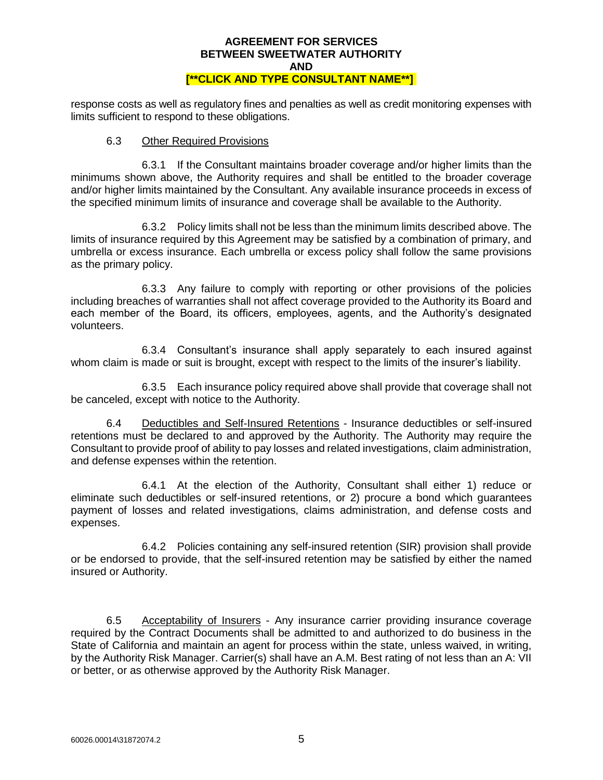response costs as well as regulatory fines and penalties as well as credit monitoring expenses with limits sufficient to respond to these obligations.

### 6.3 Other Required Provisions

6.3.1 If the Consultant maintains broader coverage and/or higher limits than the minimums shown above, the Authority requires and shall be entitled to the broader coverage and/or higher limits maintained by the Consultant. Any available insurance proceeds in excess of the specified minimum limits of insurance and coverage shall be available to the Authority.

6.3.2 Policy limits shall not be less than the minimum limits described above. The limits of insurance required by this Agreement may be satisfied by a combination of primary, and umbrella or excess insurance. Each umbrella or excess policy shall follow the same provisions as the primary policy.

6.3.3 Any failure to comply with reporting or other provisions of the policies including breaches of warranties shall not affect coverage provided to the Authority its Board and each member of the Board, its officers, employees, agents, and the Authority's designated volunteers.

6.3.4 Consultant's insurance shall apply separately to each insured against whom claim is made or suit is brought, except with respect to the limits of the insurer's liability.

6.3.5 Each insurance policy required above shall provide that coverage shall not be canceled, except with notice to the Authority.

6.4 Deductibles and Self-Insured Retentions - Insurance deductibles or self-insured retentions must be declared to and approved by the Authority. The Authority may require the Consultant to provide proof of ability to pay losses and related investigations, claim administration, and defense expenses within the retention.

6.4.1 At the election of the Authority, Consultant shall either 1) reduce or eliminate such deductibles or self-insured retentions, or 2) procure a bond which guarantees payment of losses and related investigations, claims administration, and defense costs and expenses.

6.4.2 Policies containing any self-insured retention (SIR) provision shall provide or be endorsed to provide, that the self-insured retention may be satisfied by either the named insured or Authority.

6.5 Acceptability of Insurers - Any insurance carrier providing insurance coverage required by the Contract Documents shall be admitted to and authorized to do business in the State of California and maintain an agent for process within the state, unless waived, in writing, by the Authority Risk Manager. Carrier(s) shall have an A.M. Best rating of not less than an A: VII or better, or as otherwise approved by the Authority Risk Manager.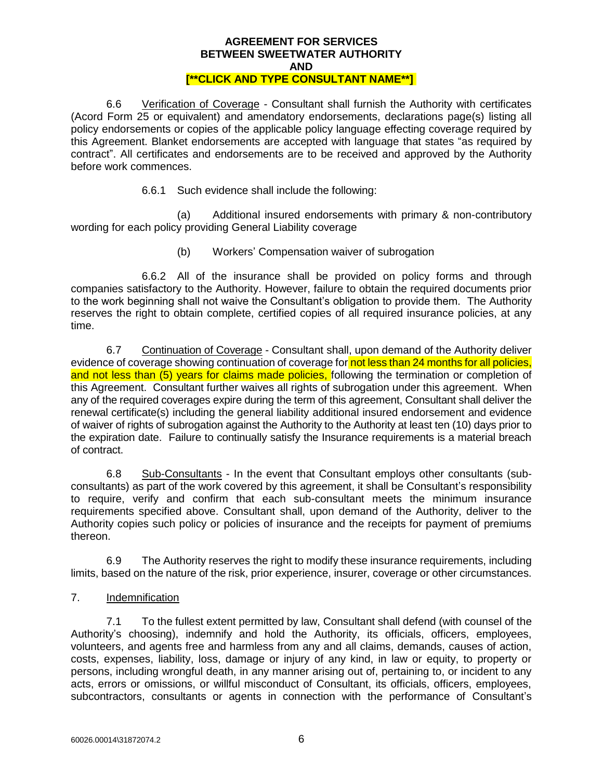6.6 Verification of Coverage - Consultant shall furnish the Authority with certificates (Acord Form 25 or equivalent) and amendatory endorsements, declarations page(s) listing all policy endorsements or copies of the applicable policy language effecting coverage required by this Agreement. Blanket endorsements are accepted with language that states "as required by contract". All certificates and endorsements are to be received and approved by the Authority before work commences.

6.6.1 Such evidence shall include the following:

(a) Additional insured endorsements with primary & non-contributory wording for each policy providing General Liability coverage

(b) Workers' Compensation waiver of subrogation

6.6.2 All of the insurance shall be provided on policy forms and through companies satisfactory to the Authority. However, failure to obtain the required documents prior to the work beginning shall not waive the Consultant's obligation to provide them. The Authority reserves the right to obtain complete, certified copies of all required insurance policies, at any time.

6.7 Continuation of Coverage - Consultant shall, upon demand of the Authority deliver evidence of coverage showing continuation of coverage for not less than 24 months for all policies, and not less than (5) years for claims made policies, following the termination or completion of this Agreement. Consultant further waives all rights of subrogation under this agreement. When any of the required coverages expire during the term of this agreement, Consultant shall deliver the renewal certificate(s) including the general liability additional insured endorsement and evidence of waiver of rights of subrogation against the Authority to the Authority at least ten (10) days prior to the expiration date. Failure to continually satisfy the Insurance requirements is a material breach of contract.

6.8 Sub-Consultants - In the event that Consultant employs other consultants (subconsultants) as part of the work covered by this agreement, it shall be Consultant's responsibility to require, verify and confirm that each sub-consultant meets the minimum insurance requirements specified above. Consultant shall, upon demand of the Authority, deliver to the Authority copies such policy or policies of insurance and the receipts for payment of premiums thereon.

6.9 The Authority reserves the right to modify these insurance requirements, including limits, based on the nature of the risk, prior experience, insurer, coverage or other circumstances.

7. Indemnification

7.1 To the fullest extent permitted by law, Consultant shall defend (with counsel of the Authority's choosing), indemnify and hold the Authority, its officials, officers, employees, volunteers, and agents free and harmless from any and all claims, demands, causes of action, costs, expenses, liability, loss, damage or injury of any kind, in law or equity, to property or persons, including wrongful death, in any manner arising out of, pertaining to, or incident to any acts, errors or omissions, or willful misconduct of Consultant, its officials, officers, employees, subcontractors, consultants or agents in connection with the performance of Consultant's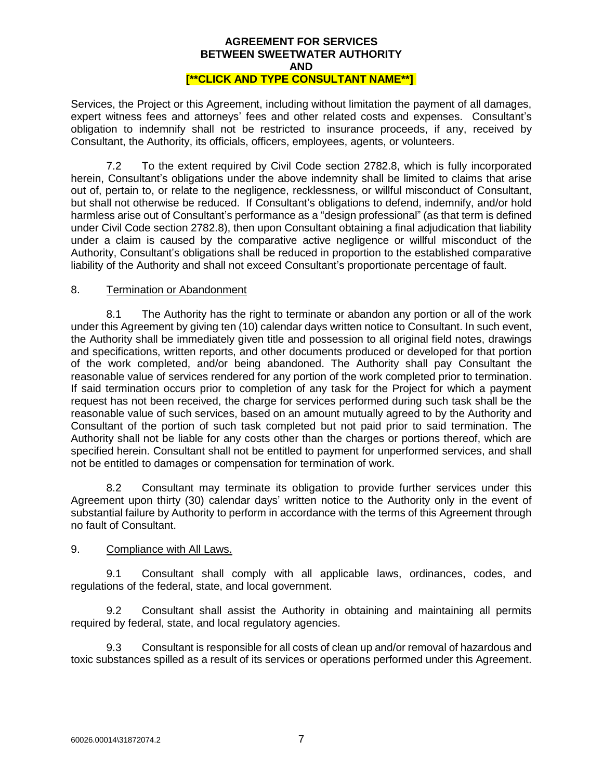Services, the Project or this Agreement, including without limitation the payment of all damages, expert witness fees and attorneys' fees and other related costs and expenses. Consultant's obligation to indemnify shall not be restricted to insurance proceeds, if any, received by Consultant, the Authority, its officials, officers, employees, agents, or volunteers.

7.2 To the extent required by Civil Code section 2782.8, which is fully incorporated herein, Consultant's obligations under the above indemnity shall be limited to claims that arise out of, pertain to, or relate to the negligence, recklessness, or willful misconduct of Consultant, but shall not otherwise be reduced. If Consultant's obligations to defend, indemnify, and/or hold harmless arise out of Consultant's performance as a "design professional" (as that term is defined under Civil Code section 2782.8), then upon Consultant obtaining a final adjudication that liability under a claim is caused by the comparative active negligence or willful misconduct of the Authority, Consultant's obligations shall be reduced in proportion to the established comparative liability of the Authority and shall not exceed Consultant's proportionate percentage of fault.

## 8. Termination or Abandonment

8.1 The Authority has the right to terminate or abandon any portion or all of the work under this Agreement by giving ten (10) calendar days written notice to Consultant. In such event, the Authority shall be immediately given title and possession to all original field notes, drawings and specifications, written reports, and other documents produced or developed for that portion of the work completed, and/or being abandoned. The Authority shall pay Consultant the reasonable value of services rendered for any portion of the work completed prior to termination. If said termination occurs prior to completion of any task for the Project for which a payment request has not been received, the charge for services performed during such task shall be the reasonable value of such services, based on an amount mutually agreed to by the Authority and Consultant of the portion of such task completed but not paid prior to said termination. The Authority shall not be liable for any costs other than the charges or portions thereof, which are specified herein. Consultant shall not be entitled to payment for unperformed services, and shall not be entitled to damages or compensation for termination of work.

8.2 Consultant may terminate its obligation to provide further services under this Agreement upon thirty (30) calendar days' written notice to the Authority only in the event of substantial failure by Authority to perform in accordance with the terms of this Agreement through no fault of Consultant.

## 9. Compliance with All Laws.

9.1 Consultant shall comply with all applicable laws, ordinances, codes, and regulations of the federal, state, and local government.

9.2 Consultant shall assist the Authority in obtaining and maintaining all permits required by federal, state, and local regulatory agencies.

9.3 Consultant is responsible for all costs of clean up and/or removal of hazardous and toxic substances spilled as a result of its services or operations performed under this Agreement.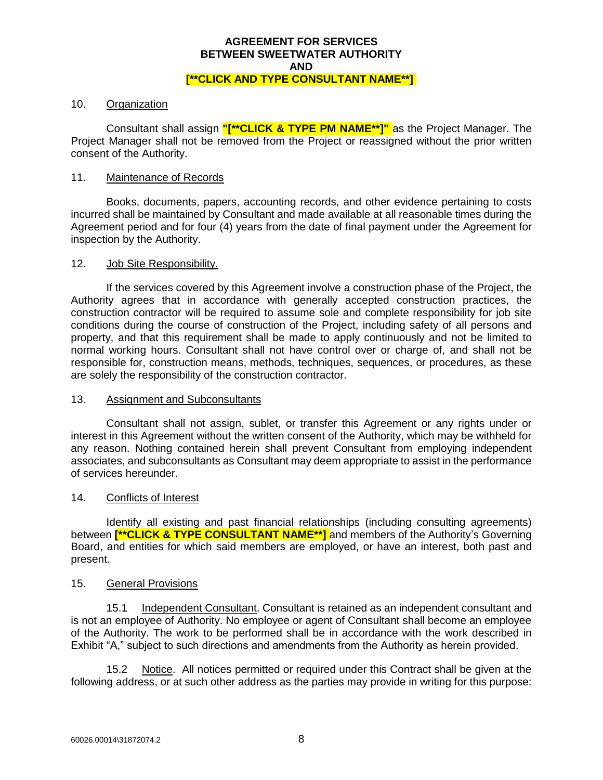### 10. Organization

Consultant shall assign **"[\*\*CLICK & TYPE PM NAME\*\*]"** as the Project Manager. The Project Manager shall not be removed from the Project or reassigned without the prior written consent of the Authority.

### 11. Maintenance of Records

Books, documents, papers, accounting records, and other evidence pertaining to costs incurred shall be maintained by Consultant and made available at all reasonable times during the Agreement period and for four (4) years from the date of final payment under the Agreement for inspection by the Authority.

#### 12. Job Site Responsibility.

If the services covered by this Agreement involve a construction phase of the Project, the Authority agrees that in accordance with generally accepted construction practices, the construction contractor will be required to assume sole and complete responsibility for job site conditions during the course of construction of the Project, including safety of all persons and property, and that this requirement shall be made to apply continuously and not be limited to normal working hours. Consultant shall not have control over or charge of, and shall not be responsible for, construction means, methods, techniques, sequences, or procedures, as these are solely the responsibility of the construction contractor.

#### 13. Assignment and Subconsultants

Consultant shall not assign, sublet, or transfer this Agreement or any rights under or interest in this Agreement without the written consent of the Authority, which may be withheld for any reason. Nothing contained herein shall prevent Consultant from employing independent associates, and subconsultants as Consultant may deem appropriate to assist in the performance of services hereunder.

#### 14. Conflicts of Interest

Identify all existing and past financial relationships (including consulting agreements) between **[\*\*CLICK & TYPE CONSULTANT NAME\*\*]** and members of the Authority's Governing Board, and entities for which said members are employed, or have an interest, both past and present.

#### 15. General Provisions

15.1 Independent Consultant. Consultant is retained as an independent consultant and is not an employee of Authority. No employee or agent of Consultant shall become an employee of the Authority. The work to be performed shall be in accordance with the work described in Exhibit "A," subject to such directions and amendments from the Authority as herein provided.

15.2 Notice. All notices permitted or required under this Contract shall be given at the following address, or at such other address as the parties may provide in writing for this purpose: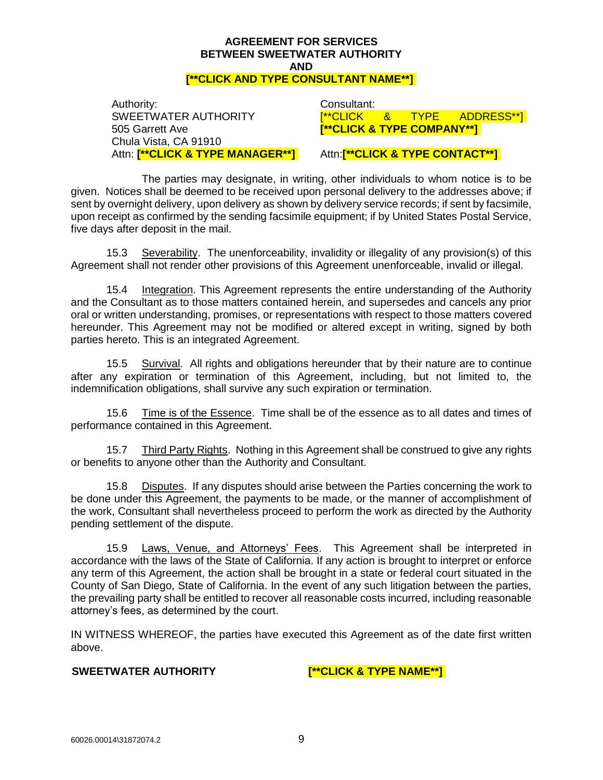Authority: Consultant: SWEETWATER AUTHORITY 505 Garrett Ave Chula Vista, CA 91910

[\*\*CLICK & TYPE ADDRESS\*\*] **[\*\*CLICK & TYPE COMPANY\*\*]** 

## Attn: **[\*\*CLICK & TYPE MANAGER\*\*]** Attn:**[\*\*CLICK & TYPE CONTACT\*\*]**

The parties may designate, in writing, other individuals to whom notice is to be given. Notices shall be deemed to be received upon personal delivery to the addresses above; if sent by overnight delivery, upon delivery as shown by delivery service records; if sent by facsimile, upon receipt as confirmed by the sending facsimile equipment; if by United States Postal Service, five days after deposit in the mail.

15.3 Severability. The unenforceability, invalidity or illegality of any provision(s) of this Agreement shall not render other provisions of this Agreement unenforceable, invalid or illegal.

15.4 Integration. This Agreement represents the entire understanding of the Authority and the Consultant as to those matters contained herein, and supersedes and cancels any prior oral or written understanding, promises, or representations with respect to those matters covered hereunder. This Agreement may not be modified or altered except in writing, signed by both parties hereto. This is an integrated Agreement.

15.5 Survival. All rights and obligations hereunder that by their nature are to continue after any expiration or termination of this Agreement, including, but not limited to, the indemnification obligations, shall survive any such expiration or termination.

15.6 Time is of the Essence. Time shall be of the essence as to all dates and times of performance contained in this Agreement.

15.7 Third Party Rights. Nothing in this Agreement shall be construed to give any rights or benefits to anyone other than the Authority and Consultant.

15.8 Disputes. If any disputes should arise between the Parties concerning the work to be done under this Agreement, the payments to be made, or the manner of accomplishment of the work, Consultant shall nevertheless proceed to perform the work as directed by the Authority pending settlement of the dispute.

15.9 Laws, Venue, and Attorneys' Fees. This Agreement shall be interpreted in accordance with the laws of the State of California. If any action is brought to interpret or enforce any term of this Agreement, the action shall be brought in a state or federal court situated in the County of San Diego, State of California. In the event of any such litigation between the parties, the prevailing party shall be entitled to recover all reasonable costs incurred, including reasonable attorney's fees, as determined by the court.

IN WITNESS WHEREOF, the parties have executed this Agreement as of the date first written above.

**SWEETWATER AUTHORITY [\*\*CLICK & TYPE NAME\*\*]**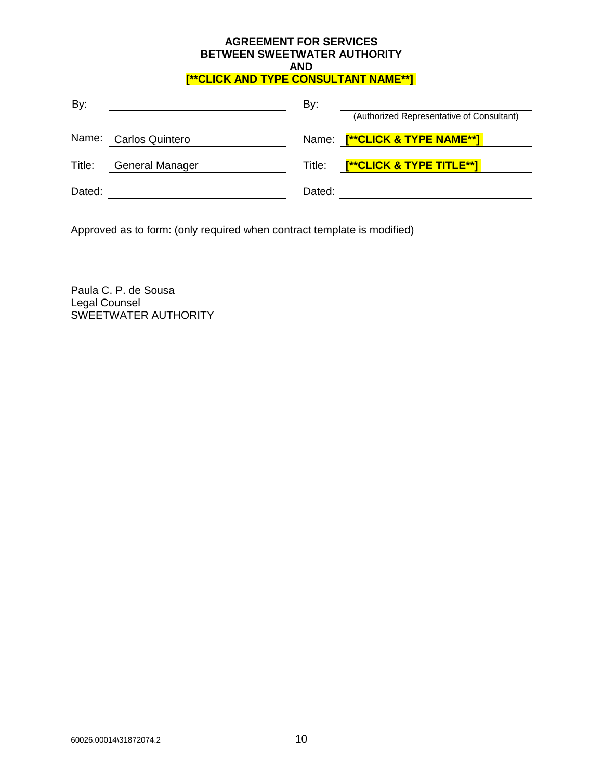| By:    |                       | By:    |                                           |
|--------|-----------------------|--------|-------------------------------------------|
|        |                       |        | (Authorized Representative of Consultant) |
|        | Name: Carlos Quintero |        | Name: [**CLICK & TYPE NAME**]             |
| Title: | General Manager       | Title: | <u>[**CLICK &amp; TYPE TITLE**]</u>       |
| Dated: |                       | Dated: |                                           |

Approved as to form: (only required when contract template is modified)

Paula C. P. de Sousa Legal Counsel SWEETWATER AUTHORITY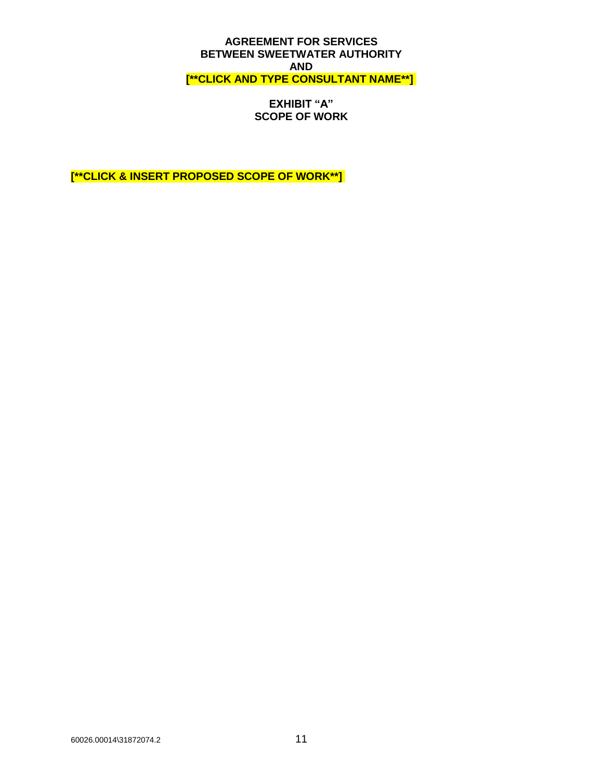**EXHIBIT "A" SCOPE OF WORK**

**[\*\*CLICK & INSERT PROPOSED SCOPE OF WORK\*\*]**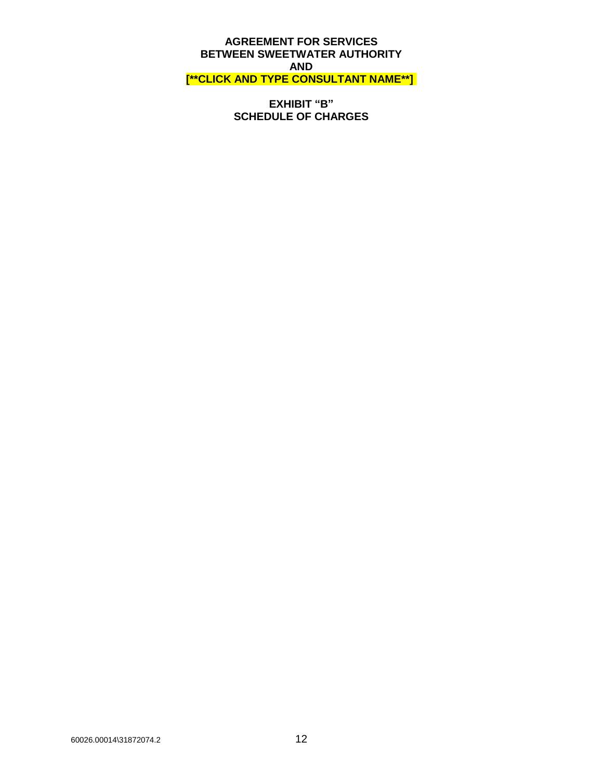**EXHIBIT "B" SCHEDULE OF CHARGES**